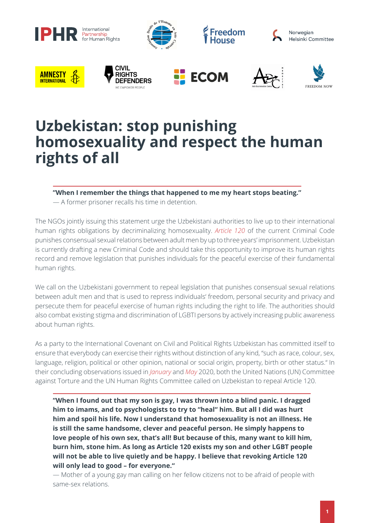

## **Uzbekistan: stop punishing homosexuality and respect the human rights of all**

**"When I remember the things that happened to me my heart stops beating."**

— A former prisoner recalls his time in detention.

The NGOs jointly issuing this statement urge the Uzbekistani authorities to live up to their international human rights obligations by decriminalizing homosexuality. *[Article 120](https://www.legislationline.org/documents/action/popup/id/8931)* of the current Criminal Code punishes consensual sexual relations between adult men by up to three years' imprisonment. Uzbekistan is currently drafting a new Criminal Code and should take this opportunity to improve its human rights record and remove legislation that punishes individuals for the peaceful exercise of their fundamental human rights.

We call on the Uzbekistani government to repeal legislation that punishes consensual sexual relations between adult men and that is used to repress individuals' freedom, personal security and privacy and persecute them for peaceful exercise of human rights including the right to life. The authorities should also combat existing stigma and discrimination of LGBTI persons by actively increasing public awareness about human rights.

As a party to the International Covenant on Civil and Political Rights Uzbekistan has committed itself to ensure that everybody can exercise their rights without distinction of any kind, "such as race, colour, sex, language, religion, political or other opinion, national or social origin, property, birth or other status." In their concluding observations issued in *[January](https://tbinternet.ohchr.org/_layouts/15/treatybodyexternal/Download.aspx?symbolno=CAT%2fC%2fUZB%2fCO%2f5&Lang=en)* and *[May](https://tbinternet.ohchr.org/_layouts/15/treatybodyexternal/Download.aspx?symbolno=CCPR%2fC%2fUZB%2fCO%2f5&Lang=en)* 2020, both the United Nations (UN) Committee against Torture and the UN Human Rights Committee called on Uzbekistan to repeal Article 120.

**"When I found out that my son is gay, I was thrown into a blind panic. I dragged him to imams, and to psychologists to try to "heal" him. But all I did was hurt him and spoil his life. Now I understand that homosexuality is not an illness. He is still the same handsome, clever and peaceful person. He simply happens to love people of his own sex, that's all! But because of this, many want to kill him, burn him, stone him. As long as Article 120 exists my son and other LGBT people will not be able to live quietly and be happy. I believe that revoking Article 120 will only lead to good – for everyone."**

— Mother of a young gay man calling on her fellow citizens not to be afraid of people with same-sex relations.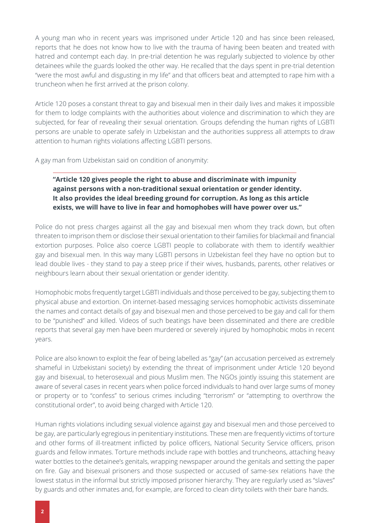A young man who in recent years was imprisoned under Article 120 and has since been released, reports that he does not know how to live with the trauma of having been beaten and treated with hatred and contempt each day. In pre-trial detention he was regularly subjected to violence by other detainees while the guards looked the other way. He recalled that the days spent in pre-trial detention "were the most awful and disgusting in my life" and that officers beat and attempted to rape him with a truncheon when he first arrived at the prison colony.

Article 120 poses a constant threat to gay and bisexual men in their daily lives and makes it impossible for them to lodge complaints with the authorities about violence and discrimination to which they are subjected, for fear of revealing their sexual orientation. Groups defending the human rights of LGBTI persons are unable to operate safely in Uzbekistan and the authorities suppress all attempts to draw attention to human rights violations affecting LGBTI persons.

A gay man from Uzbekistan said on condition of anonymity:

## **"Article 120 gives people the right to abuse and discriminate with impunity against persons with a non-traditional sexual orientation or gender identity. It also provides the ideal breeding ground for corruption. As long as this article exists, we will have to live in fear and homophobes will have power over us."**

Police do not press charges against all the gay and bisexual men whom they track down, but often threaten to imprison them or disclose their sexual orientation to their families for blackmail and financial extortion purposes. Police also coerce LGBTI people to collaborate with them to identify wealthier gay and bisexual men. In this way many LGBTI persons in Uzbekistan feel they have no option but to lead double lives - they stand to pay a steep price if their wives, husbands, parents, other relatives or neighbours learn about their sexual orientation or gender identity.

Homophobic mobs frequently target LGBTI individuals and those perceived to be gay, subjecting them to physical abuse and extortion. On internet-based messaging services homophobic activists disseminate the names and contact details of gay and bisexual men and those perceived to be gay and call for them to be "punished" and killed. Videos of such beatings have been disseminated and there are credible reports that several gay men have been murdered or severely injured by homophobic mobs in recent years.

Police are also known to exploit the fear of being labelled as "gay" (an accusation perceived as extremely shameful in Uzbekistani society) by extending the threat of imprisonment under Article 120 beyond gay and bisexual, to heterosexual and pious Muslim men. The NGOs jointly issuing this statement are aware of several cases in recent years when police forced individuals to hand over large sums of money or property or to "confess" to serious crimes including "terrorism" or "attempting to overthrow the constitutional order", to avoid being charged with Article 120.

Human rights violations including sexual violence against gay and bisexual men and those perceived to be gay, are particularly egregious in penitentiary institutions. These men are frequently victims of torture and other forms of ill-treatment inflicted by police officers, National Security Service officers, prison guards and fellow inmates. Torture methods include rape with bottles and truncheons, attaching heavy water bottles to the detainee's genitals, wrapping newspaper around the genitals and setting the paper on fire. Gay and bisexual prisoners and those suspected or accused of same-sex relations have the lowest status in the informal but strictly imposed prisoner hierarchy. They are regularly used as "slaves" by guards and other inmates and, for example, are forced to clean dirty toilets with their bare hands.